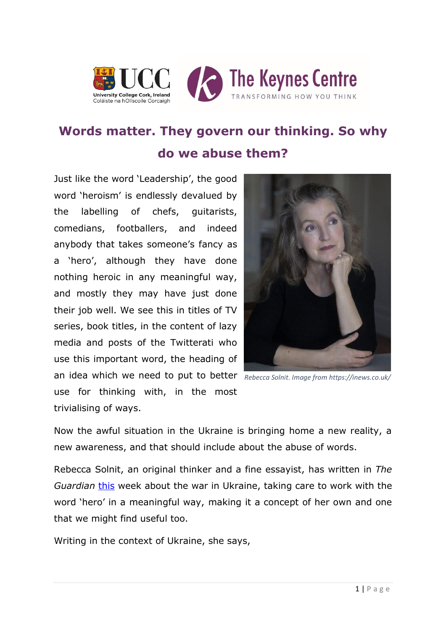



## **Words matter. They govern our thinking. So why do we abuse them?**

Just like the word 'Leadership', the good word 'heroism' is endlessly devalued by the labelling of chefs, guitarists, comedians, footballers, and indeed anybody that takes someone's fancy as a 'hero', although they have done nothing heroic in any meaningful way, and mostly they may have just done their job well. We see this in titles of TV series, book titles, in the content of lazy media and posts of the Twitterati who use this important word, the heading of an idea which we need to put to better *Rebecca Solnit. Image from https://inews.co.uk/*use for thinking with, in the most trivialising of ways.



Now the awful situation in the Ukraine is bringing home a new reality, a new awareness, and that should include about the abuse of words.

Rebecca Solnit, an original thinker and a fine essayist, has written in *The Guardian* [this](https://www.theguardian.com/commentisfree/2022/apr/25/ukraine-has-taught-us-all-a-lesson-in-moral-courage?CMP=Share_iOSApp_Other) week about the war in Ukraine, taking care to work with the word 'hero' in a meaningful way, making it a concept of her own and one that we might find useful too.

Writing in the context of Ukraine, she says,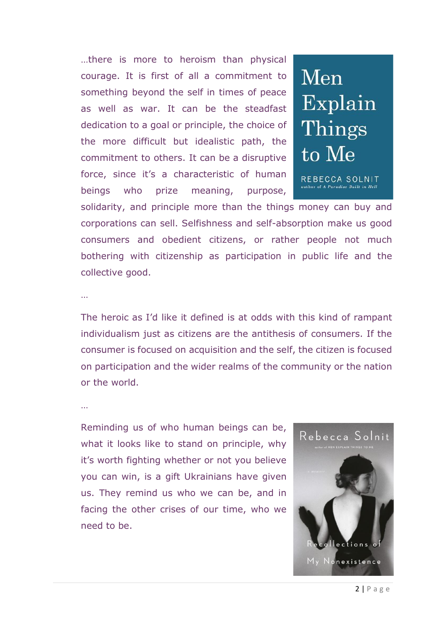…there is more to heroism than physical courage. It is first of all a commitment to something beyond the self in times of peace as well as war. It can be the steadfast dedication to a goal or principle, the choice of the more difficult but idealistic path, the commitment to others. It can be a disruptive force, since it's a characteristic of human beings who prize meaning, purpose,



solidarity, and principle more than the things money can buy and corporations can sell. Selfishness and self-absorption make us good consumers and obedient citizens, or rather people not much bothering with citizenship as participation in public life and the collective good.

…

The heroic as I'd like it defined is at odds with this kind of rampant individualism just as citizens are the antithesis of consumers. If the consumer is focused on acquisition and the self, the citizen is focused on participation and the wider realms of the community or the nation or the world.

…

Reminding us of who human beings can be, what it looks like to stand on principle, why it's worth fighting whether or not you believe you can win, is a gift Ukrainians have given us. They remind us who we can be, and in facing the other crises of our time, who we need to be.

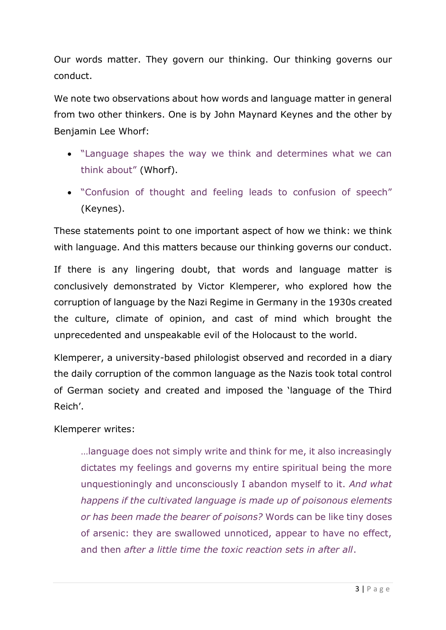Our words matter. They govern our thinking. Our thinking governs our conduct.

We note two observations about how words and language matter in general from two other thinkers. One is by John Maynard Keynes and the other by Benjamin Lee Whorf:

- "Language shapes the way we think and determines what we can think about" (Whorf).
- "Confusion of thought and feeling leads to confusion of speech" (Keynes).

These statements point to one important aspect of how we think: we think with language. And this matters because our thinking governs our conduct.

If there is any lingering doubt, that words and language matter is conclusively demonstrated by Victor Klemperer, who explored how the corruption of language by the Nazi Regime in Germany in the 1930s created the culture, climate of opinion, and cast of mind which brought the unprecedented and unspeakable evil of the Holocaust to the world.

Klemperer, a university-based philologist observed and recorded in a diary the daily corruption of the common language as the Nazis took total control of German society and created and imposed the 'language of the Third Reich'.

## Klemperer writes:

…language does not simply write and think for me, it also increasingly dictates my feelings and governs my entire spiritual being the more unquestioningly and unconsciously I abandon myself to it. *And what happens if the cultivated language is made up of poisonous elements or has been made the bearer of poisons?* Words can be like tiny doses of arsenic: they are swallowed unnoticed, appear to have no effect, and then *after a little time the toxic reaction sets in after all*.